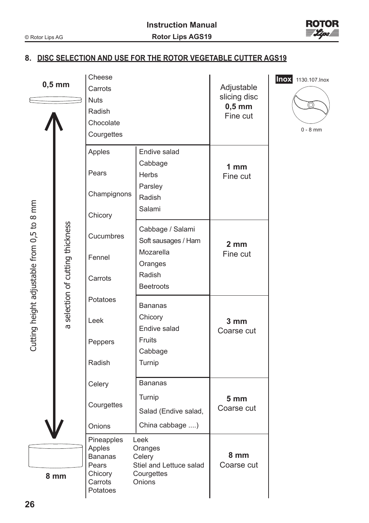

## **8. DISC SELECTION AND USE FOR THE ROTOR VEGETABLE CUTTER AGS19**

| $0,5$ mm                                   |  |                                | Cheese<br>Carrots    |                                       | Adjustable      | Inox |
|--------------------------------------------|--|--------------------------------|----------------------|---------------------------------------|-----------------|------|
|                                            |  |                                | <b>Nuts</b>          |                                       | slicing disc    |      |
|                                            |  |                                | Radish               |                                       | $0,5$ mm        |      |
|                                            |  |                                | Chocolate            |                                       | Fine cut        |      |
|                                            |  |                                | Courgettes           |                                       |                 |      |
|                                            |  |                                |                      |                                       |                 |      |
|                                            |  |                                | Apples               | Endive salad                          |                 |      |
|                                            |  |                                | Pears                | Cabbage                               | 1 <sub>mm</sub> |      |
|                                            |  |                                |                      | <b>Herbs</b>                          | Fine cut        |      |
|                                            |  |                                | Champignons          | Parsley                               |                 |      |
|                                            |  |                                |                      | Radish                                |                 |      |
| Cutting height adjustable from 0,5 to 8 mm |  |                                | Chicory              | Salami                                |                 |      |
|                                            |  |                                |                      |                                       |                 |      |
|                                            |  |                                | Cucumbres            | Cabbage / Salami                      |                 |      |
|                                            |  |                                |                      | Soft sausages / Ham                   | 2 mm            |      |
|                                            |  |                                | Fennel               | Mozarella                             | Fine cut        |      |
|                                            |  |                                |                      | Oranges                               |                 |      |
|                                            |  |                                | Carrots              | Radish                                |                 |      |
|                                            |  |                                |                      | <b>Beetroots</b>                      |                 |      |
|                                            |  | selection of cutting thickness | Potatoes             | <b>Bananas</b>                        |                 |      |
|                                            |  |                                | Leek                 | Chicory                               |                 |      |
|                                            |  | ø                              |                      | Endive salad                          | 3 mm            |      |
|                                            |  |                                | Peppers              | Fruits                                | Coarse cut      |      |
|                                            |  |                                |                      | Cabbage                               |                 |      |
|                                            |  |                                | Radish               | Turnip                                |                 |      |
|                                            |  |                                |                      |                                       |                 |      |
|                                            |  |                                | Celery               | <b>Bananas</b>                        |                 |      |
|                                            |  |                                | Courgettes           | Turnip                                | 5 <sub>mm</sub> |      |
|                                            |  |                                |                      | Salad (Endive salad,                  | Coarse cut      |      |
|                                            |  |                                | Onions               | China cabbage )                       |                 |      |
|                                            |  |                                |                      |                                       |                 |      |
|                                            |  |                                | Pineapples<br>Apples | Leek<br>Oranges                       |                 |      |
| 8 mm                                       |  |                                | <b>Bananas</b>       | Celery                                | 8 mm            |      |
|                                            |  |                                | Pears<br>Chicory     | Stiel and Lettuce salad<br>Courgettes | Coarse cut      |      |
|                                            |  |                                | Carrots              | Onions                                |                 |      |
|                                            |  |                                | Potatoes             |                                       |                 |      |

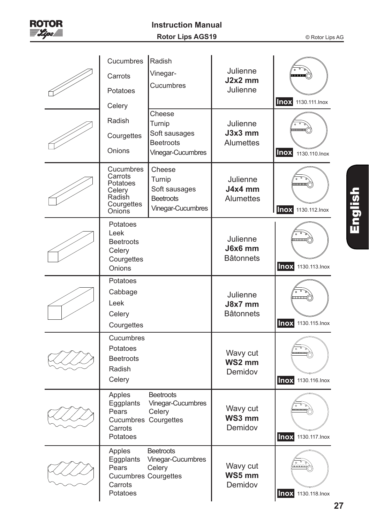

| Cucumbres<br>Carrots<br>Potatoes<br>Celery<br>Radish<br>Courgettes<br>Onions       | Radish<br>Vinegar-<br>Cucumbres<br>Cheese<br>Turnip<br>Soft sausages<br><b>Beetroots</b>        | Julienne<br>$J2x2$ mm<br>Julienne<br>Julienne<br>$J3x3$ mm<br>Alumettes | <b>Inox</b> 1130.111. Inox                               |
|------------------------------------------------------------------------------------|-------------------------------------------------------------------------------------------------|-------------------------------------------------------------------------|----------------------------------------------------------|
| Cucumbres<br>Carrots<br>Potatoes<br>Celery<br>Radish<br>Courgettes<br>Onions       | Vinegar-Cucumbres<br>Cheese<br>Turnip<br>Soft sausages<br><b>Beetroots</b><br>Vinegar-Cucumbres | Julienne<br>J4x4 mm<br><b>Alumettes</b>                                 | <b>INOX</b> 1130.110. Inox<br><b>INOX</b> 1130.112. Inox |
| Potatoes<br>Leek<br><b>Beetroots</b><br>Celery<br>Courgettes<br>Onions             |                                                                                                 | Julienne<br>J6x6 mm<br><b>Bâtonnets</b>                                 | <b>Inox</b> 1130.113. Inox                               |
| Potatoes<br>Cabbage<br>Leek<br>Celery<br>Courgettes                                |                                                                                                 | Julienne<br>J8x7 mm<br><b>Bâtonnets</b>                                 | <b>Inox</b> 1130.115. Inox                               |
| Cucumbres<br>Potatoes<br><b>Beetroots</b><br>Radish<br>Celery                      |                                                                                                 | Wavy cut<br>WS2 mm<br>Demidov                                           | <b>Inox</b> 1130.116. Inox                               |
| Apples<br>Eggplants<br>Pears<br>Cucumbres Courgettes<br>Carrots<br>Potatoes        | <b>Beetroots</b><br>Vinegar-Cucumbres<br>Celery                                                 | Wavy cut<br>WS3 mm<br>Demidov                                           | <b>Inox</b> 1130.117. Inox                               |
| Apples<br>Eggplants<br>Pears<br><b>Cucumbres Courgettes</b><br>Carrots<br>Potatoes | <b>Beetroots</b><br>Vinegar-Cucumbres<br>Celery                                                 | Wavy cut<br>WS5 mm<br>Demidov                                           | ഫ്ഫഫ്<br><b>nox</b> 1130.118. Inox                       |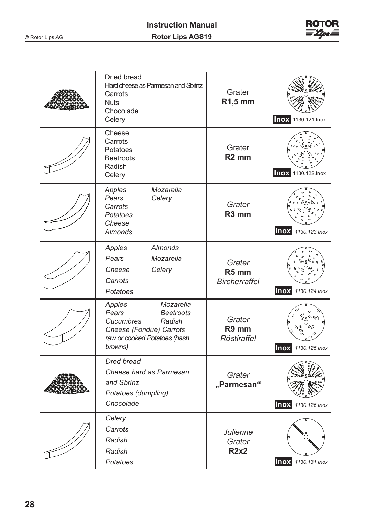

| Dried bread<br>Hard cheese as Parmesan and Sbrinz<br>Carrots<br><b>Nuts</b><br>Chocolade<br>Celery                                            | Grater<br>R1,5 mm                                   | <b>Inox</b> 1130.121. Inox         |
|-----------------------------------------------------------------------------------------------------------------------------------------------|-----------------------------------------------------|------------------------------------|
| Cheese<br>Carrots<br>Potatoes<br><b>Beetroots</b><br>Radish<br>Celery                                                                         | Grater<br>R <sub>2</sub> mm                         | <b>Inox</b> 1130.122. Inox         |
| Mozarella<br>Apples<br>Pears<br>Celery<br>Carrots<br>Potatoes<br>Cheese<br>Almonds                                                            | Grater<br>R <sub>3</sub> mm                         | <b>INOX</b> 1130.123. Inox         |
| Almonds<br>Apples<br>Pears<br>Mozarella<br>Cheese<br>Celery<br>Carrots<br>Potatoes                                                            | Grater<br>R <sub>5</sub> mm<br><b>Bircherraffel</b> | <b>INOX</b> 1130.124. Inox         |
| Mozarella<br>Apples<br>Pears<br><b>Beetroots</b><br>Cucumbres<br>Radish<br>Cheese (Fondue) Carrots<br>raw or cooked Potatoes (hash<br>browns) | Grater<br>R9 mm<br>Röstiraffel                      | ೫•ಿ%<br><b>INOX</b> 1130.125. Inox |
| Dred bread<br>Cheese hard as Parmesan<br>and Sbrinz<br>Potatoes (dumpling)<br>Chocolade                                                       | Grater<br>"Parmesan"                                | <b>Inox</b> 1130.126. Inox         |
| Celery<br>Carrots<br>Radish<br>Radish<br>Potatoes                                                                                             | Julienne<br>Grater<br>R2x2                          | <b>Inox</b> 1130.131. Inox         |